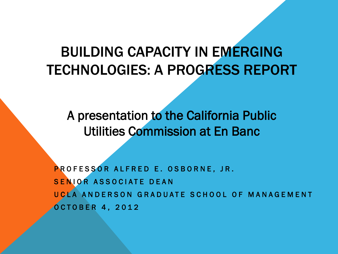#### BUILDING CAPACITY IN EMERGING TECHNOLOGIES: A PROGRESS REPORT

A presentation to the California Public Utilities Commission at En Banc

PROFESSOR ALFRED E. OSBORNE, JR. SENIOR ASSOCIATE DEAN UCLA ANDERSON GRADUATE SCHOOL OF MANAGEMENT OCTOBER 4, 2012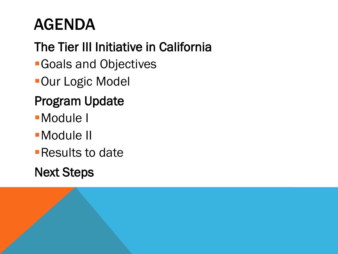# AGENDA

## The Tier III Initiative in California

- Goals and Objectives
- **-Our Logic Model**

### Program Update

- Module I
- Module II
- **Results to date**

#### Next Steps

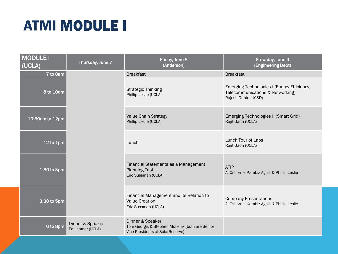## ATMI MODULE I

| <b>MODULE I</b><br>(UCLA) | Thursday, June 7                     | Friday, June 8<br>(Anderson)                                                                            | Saturday, June 9<br>(Engineering Dept)                                                                 |
|---------------------------|--------------------------------------|---------------------------------------------------------------------------------------------------------|--------------------------------------------------------------------------------------------------------|
| 7 to 8am                  |                                      | <b>Breakfast</b>                                                                                        | <b>Breakfast</b>                                                                                       |
| 8 to 10am                 |                                      | <b>Strategic Thinking</b><br>Phillip Leslie (UCLA)                                                      | Emerging Technologies I (Energy Efficiency,<br>Telecommunications & Networking)<br>Rajesh Gupta (UCSD) |
| 10:30am to 12pm           |                                      | Value Chain Strategy<br>Phillip Leslie (UCLA)                                                           | Emerging Technologies II (Smart Grid)<br>Rajit Gadh (UCLA)                                             |
| $12$ to $1pm$             |                                      | Lunch                                                                                                   | Lunch Tour of Labs<br>Rajit Gadh (UCLA)                                                                |
| $1:30$ to 3pm             |                                      | Financial Statements as a Management<br><b>Planning Tool</b><br>Eric Sussman (UCLA)                     | <b>ATIP</b><br>Al Osborne, Kambiz Aghili & Phillip Leslie                                              |
| 3:30 to 5pm               |                                      | Financial Management and Its Relation to<br><b>Value Creation</b><br>Eric Sussman (UCLA)                | <b>Company Presentations</b><br>Al Osborne, Kambiz Aghili & Phillip Leslie                             |
| 6 to 8pm                  | Dinner & Speaker<br>Ed Leamer (UCLA) | Dinner & Speaker<br>Tom Georgis & Stephen Mullenix (both are Senior<br>Vice Presidents at SolarReserve) |                                                                                                        |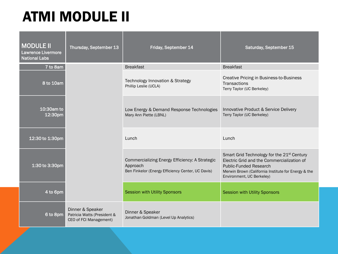## ATMI MODULE II

| <b>MODULE II</b><br><b>Lawrence Livermore</b><br><b>National Labs</b> | Thursday, September 13                                                    | Friday, September 14                                                                                            | Saturday, September 15                                                                                                                                                                                                    |
|-----------------------------------------------------------------------|---------------------------------------------------------------------------|-----------------------------------------------------------------------------------------------------------------|---------------------------------------------------------------------------------------------------------------------------------------------------------------------------------------------------------------------------|
| 7 to 8am                                                              |                                                                           | <b>Breakfast</b>                                                                                                | <b>Breakfast</b>                                                                                                                                                                                                          |
| 8 to 10am                                                             |                                                                           | Technology Innovation & Strategy<br>Phillip Leslie (UCLA)                                                       | Creative Pricing in Business-to-Business<br>Transactions<br>Terry Taylor (UC Berkeley)                                                                                                                                    |
| $10:30$ am to<br>12:30pm                                              |                                                                           | Low Energy & Demand Response Technologies<br>Mary Ann Piette (LBNL)                                             | Innovative Product & Service Delivery<br>Terry Taylor (UC Berkeley)                                                                                                                                                       |
| 12:30 to 1:30pm                                                       |                                                                           | Lunch                                                                                                           | Lunch                                                                                                                                                                                                                     |
| 1:30 to 3:30pm                                                        |                                                                           | Commercializing Energy Efficiency: A Strategic<br>Approach<br>Ben Finkelor (Energy Efficiency Center, UC Davis) | Smart Grid Technology for the 21 <sup>st</sup> Century<br>Electric Grid and the Commercialization of<br><b>Public-Funded Research</b><br>Merwin Brown (California Institute for Energy & the<br>Environment, UC Berkeley) |
| 4 to 6pm                                                              |                                                                           | <b>Session with Utility Sponsors</b>                                                                            | <b>Session with Utility Sponsors</b>                                                                                                                                                                                      |
| 6 to 8pm                                                              | Dinner & Speaker<br>Patricia Watts (President &<br>CEO of FCI Management) | Dinner & Speaker<br>Jonathan Goldman (Level Up Analytics)                                                       |                                                                                                                                                                                                                           |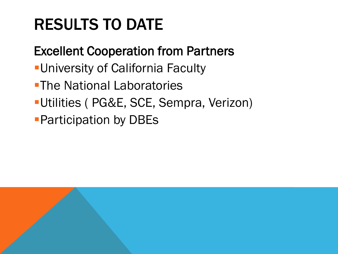# RESULTS TO DATE

#### Excellent Cooperation from Partners

- **-University of California Faculty**
- **-The National Laboratories**
- Utilities ( PG&E, SCE, Sempra, Verizon)
- **Participation by DBEs**